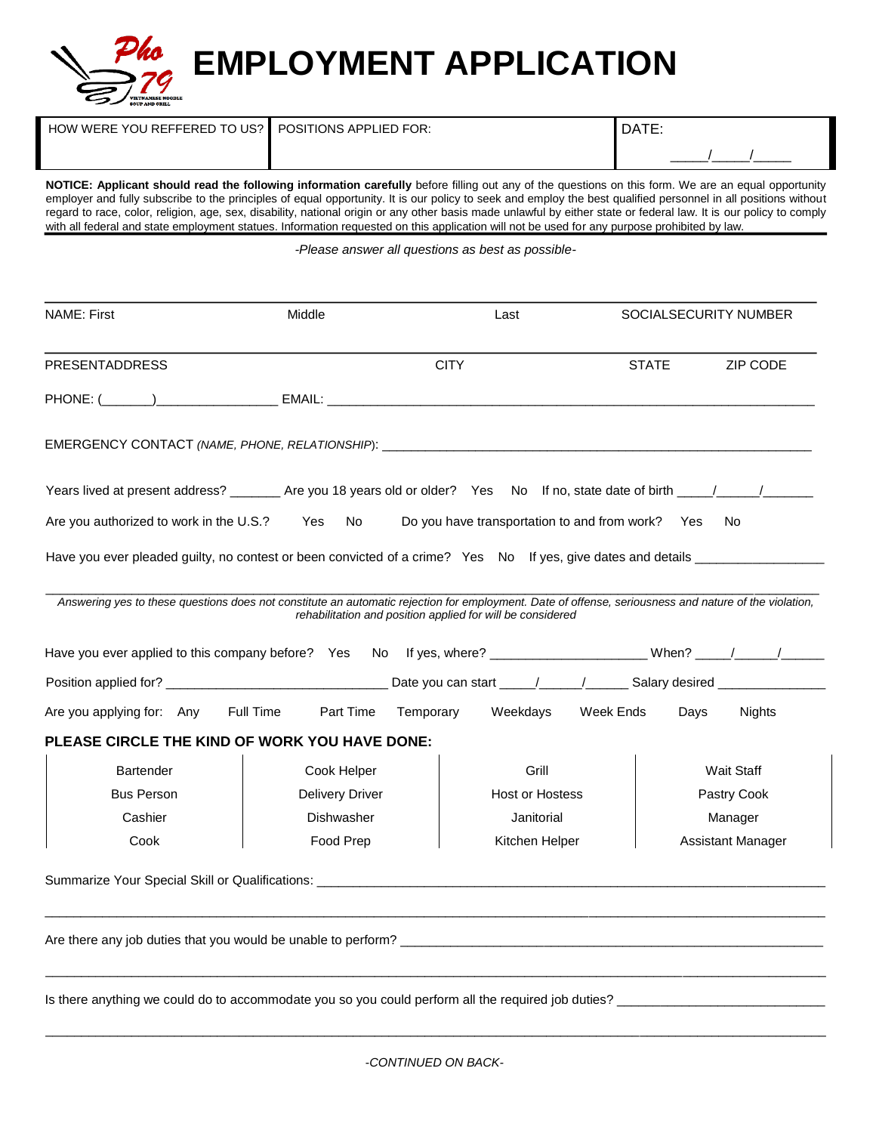

| $\,$ HOW WERE YOU REFFERED TO US? $\,$ POSITIONS APPLIED FOR: $\,$ | <b>DATE</b> |
|--------------------------------------------------------------------|-------------|
|                                                                    |             |

**NOTICE: Applicant should read the following information carefully** before filling out any of the questions on this form. We are an equal opportunity employer and fully subscribe to the principles of equal opportunity. It is our policy to seek and employ the best qualified personnel in all positions without regard to race, color, religion, age, sex, disability, national origin or any other basis made unlawful by either state or federal law. It is our policy to comply with all federal and state employment statues. Information requested on this application will not be used for any purpose prohibited by law.

*-Please answer all questions as best as possible-*

| <b>PRESENTADDRESS</b><br>PHONE: ( ) EMAIL: EMAIL:                                                                                                     |                                                            | <b>CITY</b>                                      | <b>STATE</b>      | ZIP CODE                 |  |
|-------------------------------------------------------------------------------------------------------------------------------------------------------|------------------------------------------------------------|--------------------------------------------------|-------------------|--------------------------|--|
|                                                                                                                                                       |                                                            |                                                  |                   |                          |  |
|                                                                                                                                                       |                                                            |                                                  |                   |                          |  |
|                                                                                                                                                       |                                                            |                                                  |                   |                          |  |
|                                                                                                                                                       |                                                            |                                                  |                   |                          |  |
| Are you authorized to work in the U.S.? Yes                                                                                                           | No l                                                       | Do you have transportation to and from work? Yes |                   | No.                      |  |
| Have you ever pleaded guilty, no contest or been convicted of a crime? Yes No If yes, give dates and details __________________________               |                                                            |                                                  |                   |                          |  |
| Answering yes to these questions does not constitute an automatic rejection for employment. Date of offense, seriousness and nature of the violation, |                                                            |                                                  |                   |                          |  |
|                                                                                                                                                       | rehabilitation and position applied for will be considered |                                                  |                   |                          |  |
| Have you ever applied to this company before? Yes No If yes, where? _____________________When? ____/_____/_____                                       |                                                            |                                                  |                   |                          |  |
|                                                                                                                                                       |                                                            |                                                  |                   |                          |  |
| Are you applying for: Any Full Time                                                                                                                   | Part Time Temporary                                        | Weekdays                                         | Week Ends<br>Days | Nights                   |  |
| <b>PLEASE CIRCLE THE KIND OF WORK YOU HAVE DONE:</b>                                                                                                  |                                                            |                                                  |                   |                          |  |
| <b>Bartender</b>                                                                                                                                      | Cook Helper                                                | Grill                                            |                   | <b>Wait Staff</b>        |  |
| <b>Bus Person</b>                                                                                                                                     | <b>Delivery Driver</b>                                     | <b>Host or Hostess</b>                           |                   | Pastry Cook              |  |
| Cashier                                                                                                                                               | Dishwasher                                                 | Janitorial                                       |                   | Manager                  |  |
| Cook                                                                                                                                                  | Food Prep                                                  | Kitchen Helper                                   |                   | <b>Assistant Manager</b> |  |
|                                                                                                                                                       |                                                            |                                                  |                   |                          |  |
|                                                                                                                                                       |                                                            |                                                  |                   |                          |  |
| Are there any job duties that you would be unable to perform?                                                                                         |                                                            |                                                  |                   |                          |  |
|                                                                                                                                                       |                                                            |                                                  |                   |                          |  |
|                                                                                                                                                       |                                                            |                                                  |                   |                          |  |

\_\_\_\_\_\_\_\_\_\_\_\_\_\_\_\_\_\_\_\_\_\_\_\_\_\_\_\_\_\_\_\_\_\_\_\_\_\_\_\_\_\_\_\_\_\_\_\_\_\_\_\_\_\_\_\_\_\_\_\_\_\_\_\_\_\_\_\_\_\_\_\_\_\_\_\_\_\_\_\_\_\_\_\_\_\_\_\_\_\_\_\_\_\_\_\_\_\_\_\_\_\_\_\_\_\_\_\_\_